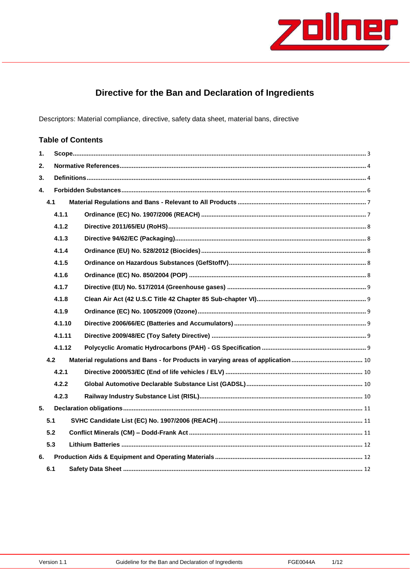

## Directive for the Ban and Declaration of Ingredients

Descriptors: Material compliance, directive, safety data sheet, material bans, directive

#### **Table of Contents**  $\ddot{\mathbf{1}}$ .  $2.$  $3<sub>1</sub>$  $\mathbf{A}$  $4.1$  $4.1.1$  $4.1.2$  $4.1.3$  $4.1.4$  $4.1.5$  $4.1.6$  $4.1.7$  $4.1.8$  $4.1.9$ 4.1.10 4.1.11 4.1.12  $4.2$  $4.2.1$  $4.2.2$  $4.2.3$  $5.$  $5.1$  $5.2$  $5.3$ 6.  $6.1$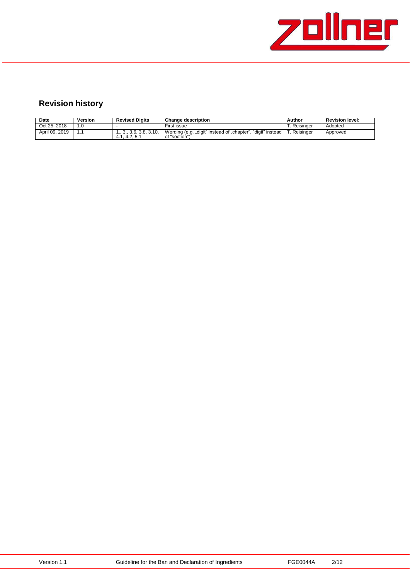

# **Revision history**

| Date           | Version | <b>Revised Digits</b>                       | <b>Change description</b>                                                    | Author        | <b>Revision level:</b> |
|----------------|---------|---------------------------------------------|------------------------------------------------------------------------------|---------------|------------------------|
| Oct 25, 2018   |         |                                             | First issue                                                                  | . Reisinger   | Adopted                |
| April 09, 2019 |         | 1., 3., 3.6, 3.8, 3.10,<br>.4.2.5.1<br>4.1. | Wording (e.g. "digit" instead of "chapter", "digit" instead<br>of "section"` | . . Reisinger | Approved               |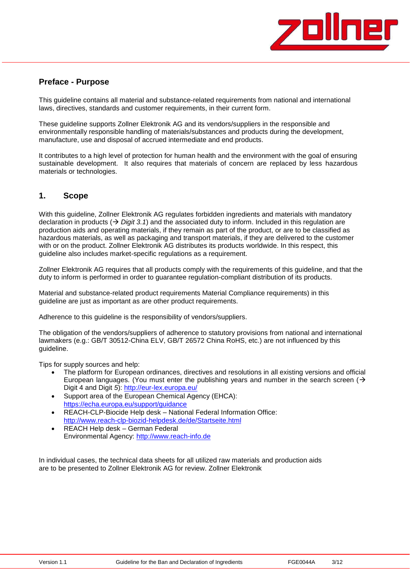

### **Preface - Purpose**

This guideline contains all material and substance-related requirements from national and international laws, directives, standards and customer requirements, in their current form.

These guideline supports Zollner Elektronik AG and its vendors/suppliers in the responsible and environmentally responsible handling of materials/substances and products during the development, manufacture, use and disposal of accrued intermediate and end products.

It contributes to a high level of protection for human health and the environment with the goal of ensuring sustainable development. It also requires that materials of concern are replaced by less hazardous materials or technologies.

## <span id="page-2-0"></span>**1. Scope**

With this guideline, Zollner Elektronik AG regulates forbidden ingredients and materials with mandatory declaration in products  $(\rightarrow$  *Digit* 3.1) and the associated duty to inform. Included in this regulation are production aids and operating materials, if they remain as part of the product, or are to be classified as hazardous materials, as well as packaging and transport materials, if they are delivered to the customer with or on the product. Zollner Elektronik AG distributes its products worldwide. In this respect, this guideline also includes market-specific regulations as a requirement.

Zollner Elektronik AG requires that all products comply with the requirements of this guideline, and that the duty to inform is performed in order to guarantee regulation-compliant distribution of its products.

Material and substance-related product requirements Material Compliance requirements) in this guideline are just as important as are other product requirements.

Adherence to this guideline is the responsibility of vendors/suppliers.

The obligation of the vendors/suppliers of adherence to statutory provisions from national and international lawmakers (e.g.: GB/T 30512-China ELV, GB/T 26572 China RoHS, etc.) are not influenced by this guideline.

Tips for supply sources and help:

- The platform for European ordinances, directives and resolutions in all existing versions and official European languages. (You must enter the publishing years and number in the search screen  $\rightarrow$ Digit 4 and Digit *5*): <http://eur-lex.europa.eu/>
- Support area of the European Chemical Agency (EHCA): <https://echa.europa.eu/support/guidance>
- REACH-CLP-Biocide Help desk National Federal Information Office: <http://www.reach-clp-biozid-helpdesk.de/de/Startseite.html>
- REACH Help desk German Federal Environmental Agency: [http://www.reach-info.de](http://www.reach-info.de/)

In individual cases, the technical data sheets for all utilized raw materials and production aids are to be presented to Zollner Elektronik AG for review. Zollner Elektronik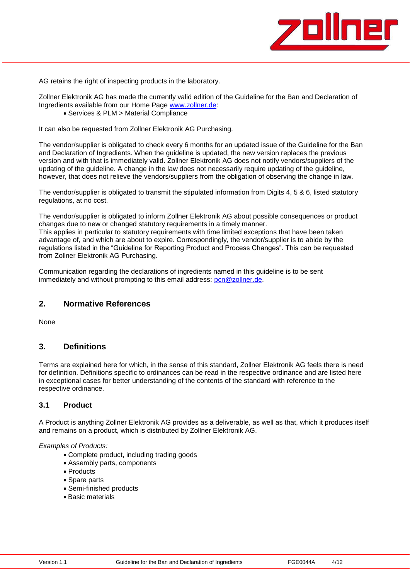

AG retains the right of inspecting products in the laboratory.

Zollner Elektronik AG has made the currently valid edition of the Guideline for the Ban and Declaration of Ingredients available from our Home Page [www.zollner.de:](http://www.zollner.de/)

Services & PLM > Material Compliance

It can also be requested from Zollner Elektronik AG Purchasing.

The vendor/supplier is obligated to check every 6 months for an updated issue of the Guideline for the Ban and Declaration of Ingredients. When the guideline is updated, the new version replaces the previous version and with that is immediately valid. Zollner Elektronik AG does not notify vendors/suppliers of the updating of the guideline. A change in the law does not necessarily require updating of the guideline, however, that does not relieve the vendors/suppliers from the obligation of observing the change in law.

The vendor/supplier is obligated to transmit the stipulated information from Digits 4, 5 & 6, listed statutory regulations, at no cost.

The vendor/supplier is obligated to inform Zollner Elektronik AG about possible consequences or product changes due to new or changed statutory requirements in a timely manner.

This applies in particular to statutory requirements with time limited exceptions that have been taken advantage of, and which are about to expire. Correspondingly, the vendor/supplier is to abide by the regulations listed in the "Guideline for Reporting Product and Process Changes". This can be requested from Zollner Elektronik AG Purchasing.

Communication regarding the declarations of ingredients named in this guideline is to be sent immediately and without prompting to this email address: [pcn@zollner.de.](mailto:pcn@zollner.de)

### <span id="page-3-0"></span>**2. Normative References**

None

#### <span id="page-3-1"></span>**3. Definitions**

Terms are explained here for which, in the sense of this standard, Zollner Elektronik AG feels there is need for definition. Definitions specific to ordinances can be read in the respective ordinance and are listed here in exceptional cases for better understanding of the contents of the standard with reference to the respective ordinance.

#### **3.1 Product**

A Product is anything Zollner Elektronik AG provides as a deliverable, as well as that, which it produces itself and remains on a product, which is distributed by Zollner Elektronik AG.

#### *Examples of Products:*

- Complete product, including trading goods
- Assembly parts, components
- Products
- Spare parts
- Semi-finished products
- Basic materials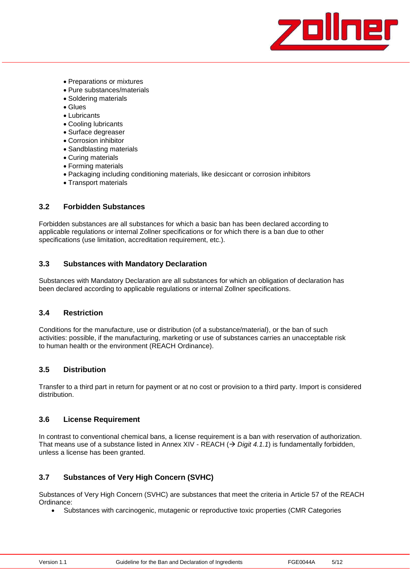

- Preparations or mixtures
- Pure substances/materials
- Soldering materials
- Glues
- Lubricants
- Cooling lubricants
- Surface degreaser
- Corrosion inhibitor
- Sandblasting materials
- Curing materials
- Forming materials
- Packaging including conditioning materials, like desiccant or corrosion inhibitors
- Transport materials

### **3.2 Forbidden Substances**

Forbidden substances are all substances for which a basic ban has been declared according to applicable regulations or internal Zollner specifications or for which there is a ban due to other specifications (use limitation, accreditation requirement, etc.).

### **3.3 Substances with Mandatory Declaration**

Substances with Mandatory Declaration are all substances for which an obligation of declaration has been declared according to applicable regulations or internal Zollner specifications.

#### **3.4 Restriction**

Conditions for the manufacture, use or distribution (of a substance/material), or the ban of such activities: possible, if the manufacturing, marketing or use of substances carries an unacceptable risk to human health or the environment (REACH Ordinance).

### **3.5 Distribution**

Transfer to a third part in return for payment or at no cost or provision to a third party. Import is considered distribution.

#### **3.6 License Requirement**

In contrast to conventional chemical bans, a license requirement is a ban with reservation of authorization. That means use of a substance listed in Annex XIV - REACH  $($   $\rightarrow$  *Digit 4.1.1*) is fundamentally forbidden, unless a license has been granted.

### **3.7 Substances of Very High Concern (SVHC)**

Substances of Very High Concern (SVHC) are substances that meet the criteria in Article 57 of the REACH Ordinance:

Substances with carcinogenic, mutagenic or reproductive toxic properties (CMR Categories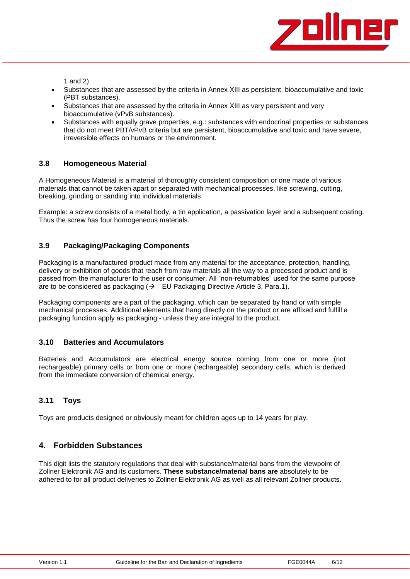

1 and 2)

- Substances that are assessed by the criteria in Annex XIII as persistent, bioaccumulative and toxic (PBT substances).
- Substances that are assessed by the criteria in Annex XIII as very persistent and very bioaccumulative (vPvB substances).
- Substances with equally grave properties, e.g.: substances with endocrinal properties or substances that do not meet PBT/vPvB criteria but are persistent, bioaccumulative and toxic and have severe, irreversible effects on humans or the environment.

#### **3.8 Homogeneous Material**

A Homogeneous Material is a material of thoroughly consistent composition or one made of various materials that cannot be taken apart or separated with mechanical processes, like screwing, cutting, breaking, grinding or sanding into individual materials

Example: a screw consists of a metal body, a tin application, a passivation layer and a subsequent coating. Thus the screw has four homogeneous materials.

#### **3.9 Packaging/Packaging Components**

Packaging is a manufactured product made from any material for the acceptance, protection, handling, delivery or exhibition of goods that reach from raw materials all the way to a processed product and is passed from the manufacturer to the user or consumer. All "non-returnables" used for the same purpose are to be considered as packaging  $(\rightarrow$  EU Packaging Directive Article 3, Para.1).

Packaging components are a part of the packaging, which can be separated by hand or with simple mechanical processes. Additional elements that hang directly on the product or are affixed and fulfill a packaging function apply as packaging - unless they are integral to the product.

#### **3.10 Batteries and Accumulators**

Batteries and Accumulators are electrical energy source coming from one or more (not rechargeable) primary cells or from one or more (rechargeable) secondary cells, which is derived from the immediate conversion of chemical energy.

### **3.11 Toys**

Toys are products designed or obviously meant for children ages up to 14 years for play.

### <span id="page-5-0"></span>**4. Forbidden Substances**

This digit lists the statutory regulations that deal with substance/material bans from the viewpoint of Zollner Elektronik AG and its customers. **These substance/material bans are** absolutely to be adhered to for all product deliveries to Zollner Elektronik AG as well as all relevant Zollner products.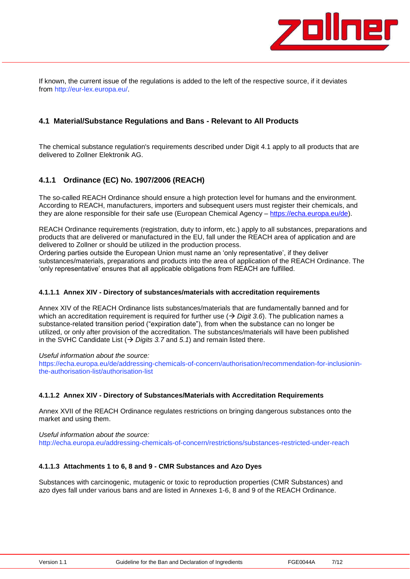

If known, the current issue of the regulations is added to the left of the respective source, if it deviates from [http://eur-lex.europa.eu/.](http://eur-lex.europa.eu/)

#### <span id="page-6-0"></span>**4.1 Material/Substance Regulations and Bans - Relevant to All Products**

The chemical substance regulation's requirements described under Digit 4.1 apply to all products that are delivered to Zollner Elektronik AG.

### <span id="page-6-1"></span>**4.1.1 Ordinance (EC) No. 1907/2006 (REACH)**

The so-called REACH Ordinance should ensure a high protection level for humans and the environment. According to REACH, manufacturers, importers and subsequent users must register their chemicals, and they are alone responsible for their safe use (European Chemical Agency - [https://echa.europa.eu/de\)](https://echa.europa.eu/de).

REACH Ordinance requirements (registration, duty to inform, etc.) apply to all substances, preparations and products that are delivered or manufactured in the EU, fall under the REACH area of application and are delivered to Zollner or should be utilized in the production process.

Ordering parties outside the European Union must name an 'only representative', if they deliver substances/materials, preparations and products into the area of application of the REACH Ordinance. The 'only representative' ensures that all applicable obligations from REACH are fulfilled.

#### **4.1.1.1 Annex XIV - Directory of substances/materials with accreditation requirements**

Annex XIV of the REACH Ordinance lists substances/materials that are fundamentally banned and for which an accreditation requirement is required for further use  $($   $\rightarrow$  *Digit* 3.6). The publication names a substance-related transition period ("expiration date"), from when the substance can no longer be utilized, or only after provision of the accreditation. The substances/materials will have been published in the SVHC Candidate List  $(\rightarrow)$  Digits 3.7 and 5.1) and remain listed there.

*Useful information about the source:*

https://echa.europa.eu/de/addressing-chemicals-of-concern/authorisation/recommendation-for-inclusioninthe-authorisation-list/authorisation-list

#### **4.1.1.2 Annex XIV - Directory of Substances/Materials with Accreditation Requirements**

Annex XVII of the REACH Ordinance regulates restrictions on bringing dangerous substances onto the market and using them.

*Useful information about the source:*

<http://echa.europa.eu/addressing-chemicals-of-concern/restrictions/substances-restricted-under-reach>

#### **4.1.1.3 Attachments 1 to 6, 8 and 9 - CMR Substances and Azo Dyes**

Substances with carcinogenic, mutagenic or toxic to reproduction properties (CMR Substances) and azo dyes fall under various bans and are listed in Annexes 1-6, 8 and 9 of the REACH Ordinance.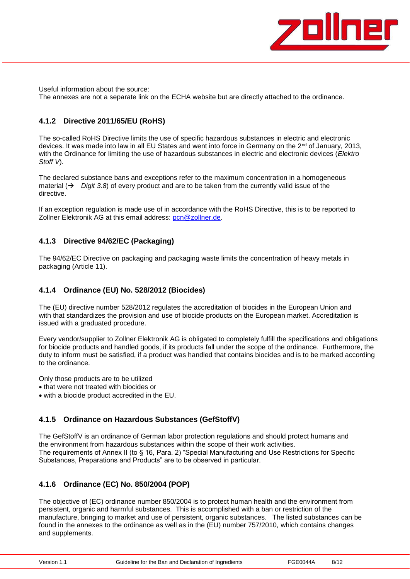

Useful information about the source: The annexes are not a separate link on the ECHA website but are directly attached to the ordinance.

## <span id="page-7-0"></span>**4.1.2 Directive 2011/65/EU (RoHS)**

The so-called RoHS Directive limits the use of specific hazardous substances in electric and electronic devices. It was made into law in all EU States and went into force in Germany on the 2<sup>nd</sup> of January, 2013, with the Ordinance for limiting the use of hazardous substances in electric and electronic devices (*Elektro Stoff V*).

The declared substance bans and exceptions refer to the maximum concentration in a homogeneous material  $(\rightarrow$  Digit 3.8) of every product and are to be taken from the currently valid issue of the directive.

If an exception regulation is made use of in accordance with the RoHS Directive, this is to be reported to Zollner Elektronik AG at this email address: [pcn@zollner.de.](mailto:pcn@zollner.de)

### <span id="page-7-1"></span>**4.1.3 Directive 94/62/EC (Packaging)**

The 94/62/EC Directive on packaging and packaging waste limits the concentration of heavy metals in packaging (Article 11).

### <span id="page-7-2"></span>**4.1.4 Ordinance (EU) No. 528/2012 (Biocides)**

The (EU) directive number 528/2012 regulates the accreditation of biocides in the European Union and with that standardizes the provision and use of biocide products on the European market. Accreditation is issued with a graduated procedure.

Every vendor/supplier to Zollner Elektronik AG is obligated to completely fulfill the specifications and obligations for biocide products and handled goods, if its products fall under the scope of the ordinance. Furthermore, the duty to inform must be satisfied, if a product was handled that contains biocides and is to be marked according to the ordinance.

Only those products are to be utilized

- that were not treated with biocides or
- with a biocide product accredited in the EU.

### <span id="page-7-3"></span>**4.1.5 Ordinance on Hazardous Substances (GefStoffV)**

The GefStoffV is an ordinance of German labor protection regulations and should protect humans and the environment from hazardous substances within the scope of their work activities. The requirements of Annex II (to § 16, Para. 2) "Special Manufacturing and Use Restrictions for Specific Substances, Preparations and Products" are to be observed in particular.

### <span id="page-7-4"></span>**4.1.6 Ordinance (EC) No. 850/2004 (POP)**

The objective of (EC) ordinance number 850/2004 is to protect human health and the environment from persistent, organic and harmful substances. This is accomplished with a ban or restriction of the manufacture, bringing to market and use of persistent, organic substances. The listed substances can be found in the annexes to the ordinance as well as in the (EU) number 757/2010, which contains changes and supplements.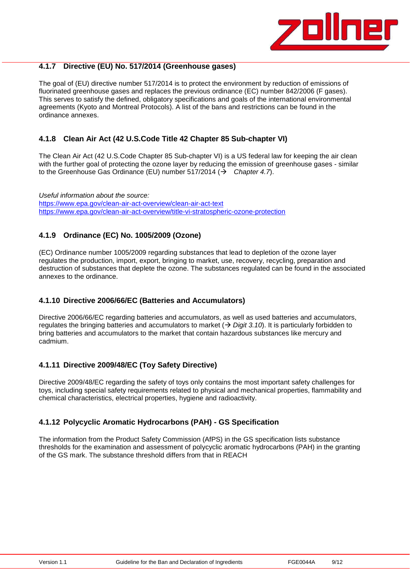

### <span id="page-8-0"></span>**4.1.7 Directive (EU) No. 517/2014 (Greenhouse gases)**

The goal of (EU) directive number 517/2014 is to protect the environment by reduction of emissions of fluorinated greenhouse gases and replaces the previous ordinance (EC) number 842/2006 (F gases). This serves to satisfy the defined, obligatory specifications and goals of the international environmental agreements (Kyoto and Montreal Protocols). A list of the bans and restrictions can be found in the ordinance annexes.

#### <span id="page-8-1"></span>**4.1.8 Clean Air Act (42 U.S.Code Title 42 Chapter 85 Sub-chapter VI)**

The Clean Air Act (42 U.S.Code Chapter 85 Sub-chapter VI) is a US federal law for keeping the air clean with the further goal of protecting the ozone layer by reducing the emission of greenhouse gases - similar to the Greenhouse Gas Ordinance (EU) number 517/2014 (→ Chapter 4.7).

*Useful information about the source:* https:/[/www.epa.gov/clean-air-act-overview/clean-air-act-text](http://www.epa.gov/clean-air-act-overview/clean-air-act-text) <https://www.epa.gov/clean-air-act-overview/title-vi-stratospheric-ozone-protection>

### <span id="page-8-2"></span>**4.1.9 Ordinance (EC) No. 1005/2009 (Ozone)**

(EC) Ordinance number 1005/2009 regarding substances that lead to depletion of the ozone layer regulates the production, import, export, bringing to market, use, recovery, recycling, preparation and destruction of substances that deplete the ozone. The substances regulated can be found in the associated annexes to the ordinance.

#### <span id="page-8-3"></span>**4.1.10 Directive 2006/66/EC (Batteries and Accumulators)**

Directive 2006/66/EC regarding batteries and accumulators, as well as used batteries and accumulators, regulates the bringing batteries and accumulators to market ( *Digit 3.10*). It is particularly forbidden to bring batteries and accumulators to the market that contain hazardous substances like mercury and cadmium.

#### <span id="page-8-4"></span>**4.1.11 Directive 2009/48/EC (Toy Safety Directive)**

Directive 2009/48/EC regarding the safety of toys only contains the most important safety challenges for toys, including special safety requirements related to physical and mechanical properties, flammability and chemical characteristics, electrical properties, hygiene and radioactivity.

#### <span id="page-8-5"></span>**4.1.12 Polycyclic Aromatic Hydrocarbons (PAH) - GS Specification**

The information from the Product Safety Commission (AfPS) in the GS specification lists substance thresholds for the examination and assessment of polycyclic aromatic hydrocarbons (PAH) in the granting of the GS mark. The substance threshold differs from that in REACH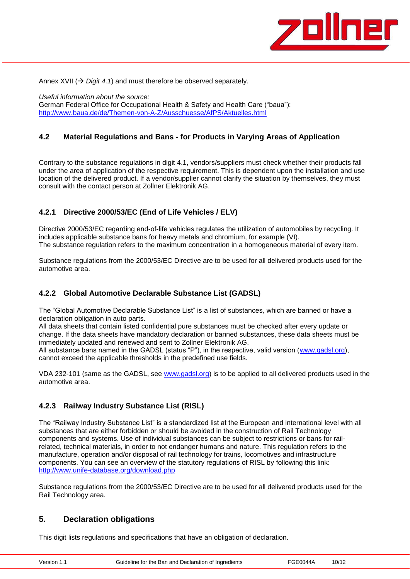

Annex XVII ( $\rightarrow$  Digit 4.1) and must therefore be observed separately.

*Useful information about the source:* German Federal Office for Occupational Health & Safety and Health Care ("baua"): <http://www.baua.de/de/Themen-von-A-Z/Ausschuesse/AfPS/Aktuelles.html>

### <span id="page-9-0"></span>**4.2 Material Regulations and Bans - for Products in Varying Areas of Application**

Contrary to the substance regulations in digit 4.1, vendors/suppliers must check whether their products fall under the area of application of the respective requirement. This is dependent upon the installation and use location of the delivered product. If a vendor/supplier cannot clarify the situation by themselves, they must consult with the contact person at Zollner Elektronik AG.

### <span id="page-9-1"></span>**4.2.1 Directive 2000/53/EC (End of Life Vehicles / ELV)**

Directive 2000/53/EC regarding end-of-life vehicles regulates the utilization of automobiles by recycling. It includes applicable substance bans for heavy metals and chromium, for example (VI). The substance regulation refers to the maximum concentration in a homogeneous material of every item.

Substance regulations from the 2000/53/EC Directive are to be used for all delivered products used for the automotive area.

### <span id="page-9-2"></span>**4.2.2 Global Automotive Declarable Substance List (GADSL)**

The "Global Automotive Declarable Substance List" is a list of substances, which are banned or have a declaration obligation in auto parts.

All data sheets that contain listed confidential pure substances must be checked after every update or change. If the data sheets have mandatory declaration or banned substances, these data sheets must be immediately updated and renewed and sent to Zollner Elektronik AG. All substance bans named in the GADSL (status "P"), in the respective, valid version [\(www.gadsl.org\)](http://www.gadsl.org/),

cannot exceed the applicable thresholds in the predefined use fields.

VDA 232-101 (same as the GADSL, see [www.gadsl.org\)](http://www.gadsl.org/) is to be applied to all delivered products used in the automotive area.

### <span id="page-9-3"></span>**4.2.3 Railway Industry Substance List (RISL)**

The "Railway Industry Substance List" is a standardized list at the European and international level with all substances that are either forbidden or should be avoided in the construction of Rail Technology components and systems. Use of individual substances can be subject to restrictions or bans for railrelated, technical materials, in order to not endanger humans and nature. This regulation refers to the manufacture, operation and/or disposal of rail technology for trains, locomotives and infrastructure components. You can see an overview of the statutory regulations of RISL by following this link: <http://www.unife-database.org/download.php>

Substance regulations from the 2000/53/EC Directive are to be used for all delivered products used for the Rail Technology area.

### <span id="page-9-4"></span>**5. Declaration obligations**

This digit lists regulations and specifications that have an obligation of declaration.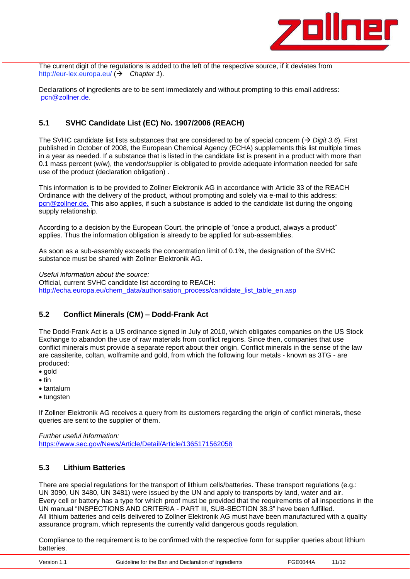

The current digit of the regulations is added to the left of the respective source, if it deviates from <http://eur-lex.europa.eu/> ( $\rightarrow$  Chapter 1).

Declarations of ingredients are to be sent immediately and without prompting to this email address: [pcn@zollner.de.](mailto:pcn@zollner.de)

## <span id="page-10-0"></span>**5.1 SVHC Candidate List (EC) No. 1907/2006 (REACH)**

The SVHC candidate list lists substances that are considered to be of special concern  $(\rightarrow$  Digit 3.6). First published in October of 2008, the European Chemical Agency (ECHA) supplements this list multiple times in a year as needed. If a substance that is listed in the candidate list is present in a product with more than 0.1 mass percent (w/w), the vendor/supplier is obligated to provide adequate information needed for safe use of the product (declaration obligation) .

This information is to be provided to Zollner Elektronik AG in accordance with Article 33 of the REACH Ordinance with the delivery of the product, without prompting and solely via e-mail to this address: [pcn@zollner.de.](mailto:pcn@zollner.de) This also applies, if such a substance is added to the candidate list during the ongoing supply relationship.

According to a decision by the European Court, the principle of "once a product, always a product" applies. Thus the information obligation is already to be applied for sub-assemblies.

As soon as a sub-assembly exceeds the concentration limit of 0.1%, the designation of the SVHC substance must be shared with Zollner Elektronik AG.

*Useful information about the source:* Official, current SVHC candidate list according to REACH: [http://echa.europa.eu/chem\\_data/authorisation\\_process/candidate\\_list\\_table\\_en.asp](http://echa.europa.eu/chem_data/authorisation_process/candidate_list_table_en.asp)

### <span id="page-10-1"></span>**5.2 Conflict Minerals (CM) – Dodd-Frank Act**

The Dodd-Frank Act is a US ordinance signed in July of 2010, which obligates companies on the US Stock Exchange to abandon the use of raw materials from conflict regions. Since then, companies that use conflict minerals must provide a separate report about their origin. Conflict minerals in the sense of the law are cassiterite, coltan, wolframite and gold, from which the following four metals - known as 3TG - are produced:

- gold
- $\bullet$  tin
- tantalum
- tungsten

If Zollner Elektronik AG receives a query from its customers regarding the origin of conflict minerals, these queries are sent to the supplier of them.

*Further useful information:* <https://www.sec.gov/News/Article/Detail/Article/1365171562058>

#### <span id="page-10-2"></span>**5.3 Lithium Batteries**

There are special regulations for the transport of lithium cells/batteries. These transport regulations (e.g.: UN 3090, UN 3480, UN 3481) were issued by the UN and apply to transports by land, water and air. Every cell or battery has a type for which proof must be provided that the requirements of all inspections in the UN manual "INSPECTIONS AND CRITERIA - PART III, SUB-SECTION 38.3" have been fulfilled. All lithium batteries and cells delivered to Zollner Elektronik AG must have been manufactured with a quality assurance program, which represents the currently valid dangerous goods regulation.

Compliance to the requirement is to be confirmed with the respective form for supplier queries about lithium batteries.